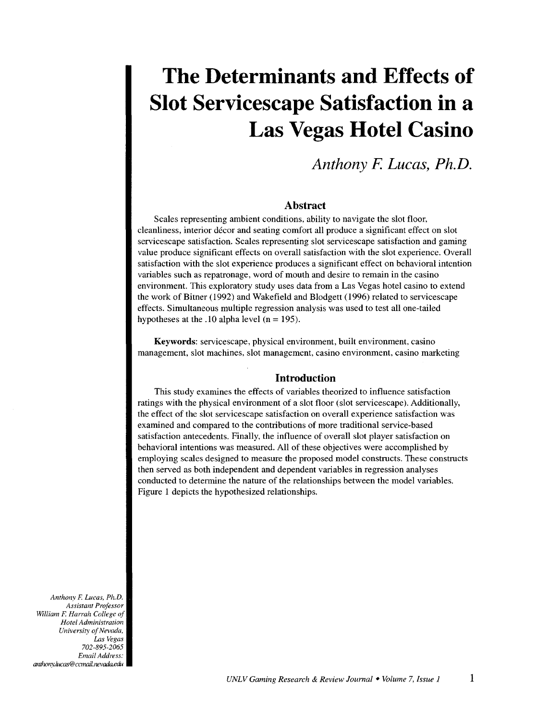# **The Determinants and Effects of Slot Servicescape Satisfaction in a Las Vegas Hotel Casino**

# *Anthony* **F.** *Lucas, Ph.D.*

# **Abstract**

Scales representing ambient conditions, ability to navigate the slot floor, cleanliness, interior decor and seating comfort all produce a significant effect on slot servicescape satisfaction. Scales representing slot servicescape satisfaction and gaming value produce significant effects on overall satisfaction with the slot experience. Overall satisfaction with the slot experience produces a significant effect on behavioral intention variables such as repatronage, word of mouth and desire to remain in the casino environment. This exploratory study uses data from a Las Vegas hotel casino to extend the work of Bitner ( 1992) and Wakefield and Blodgett ( 1996) related to servicescape effects. Simultaneous multiple regression analysis was used to test all one-tailed hypotheses at the .10 alpha level  $(n = 195)$ .

Keywords: servicescape, physical environment, built environment, casino management, slot machines, slot management, casino environment, casino marketing

# **Introduction**

This study examines the effects of variables theorized to influence satisfaction ratings with the physical environment of a slot floor (slot servicescape). Additionally, the effect of the slot servicescape satisfaction on overall experience satisfaction was examined and compared to the contributions of more traditional service-based satisfaction antecedents. Finally, the influence of overall slot player satisfaction on behavioral intentions was measured. All of these objectives were accomplished by employing scales designed to measure the proposed model constructs. These constructs then served as both independent and dependent variables in regression analyses conducted to determine the nature of the relationships between the model variables. Figure 1 depicts the hypothesized relationships.

*Anthony F. Lucas, PhD. Assistant Professor William F. Harrah College of Hotel Administration University of Nevada, Las Vegas 702-895-2065 Email Address: anthony,/ucas@ccmaiLnevada.edu*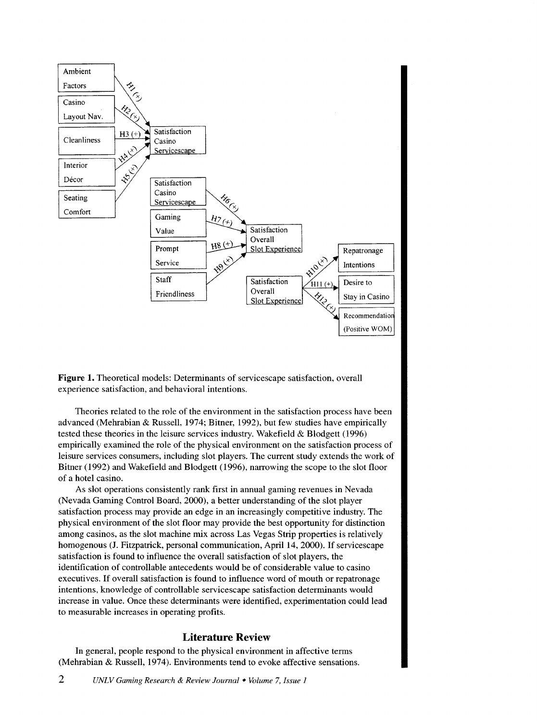

**Figure 1.** Theoretical models: Determinants of servicescape satisfaction, overall experience satisfaction, and behavioral intentions.

Theories related to the role of the environment in the satisfaction process have been advanced (Mehrabian & Russell, 1974; Bitner, 1992), but few studies have empirically tested these theories in the leisure services industry. Wakefield & Blodgett (1996) empirically examined the role of the physical environment on the satisfaction process of leisure services consumers, including slot players. The current study extends the work of Bitner (1992) and Wakefield and Blodgett (1996), narrowing the scope to the slot floor of a hotel casino.

As slot operations consistently rank first in annual gaming revenues in Nevada (Nevada Gaming Control Board, 2000), a better understanding of the slot player satisfaction process may provide an edge in an increasingly competitive industry. The physical environment of the slot floor may provide the best opportunity for distinction among casinos, as the slot machine mix across Las Vegas Strip properties is relatively homogenous **(J. Fitzpatrick, personal communication, April 14, 2000). If servicescape** satisfaction is found to influence the overall satisfaction of slot players, the identification of controllable antecedents would be of considerable value to casino executives. If overall satisfaction is found to influence word of mouth or repatronage intentions, knowledge of controllable servicescape satisfaction determinants would increase in value. Once these determinants were identified, experimentation could lead to measurable increases in operating profits.

# **Literature Review**

In general, people respond to the physical environment in affective terms (Mehrabian & Russell, 1974). Environments tend to evoke affective sensations.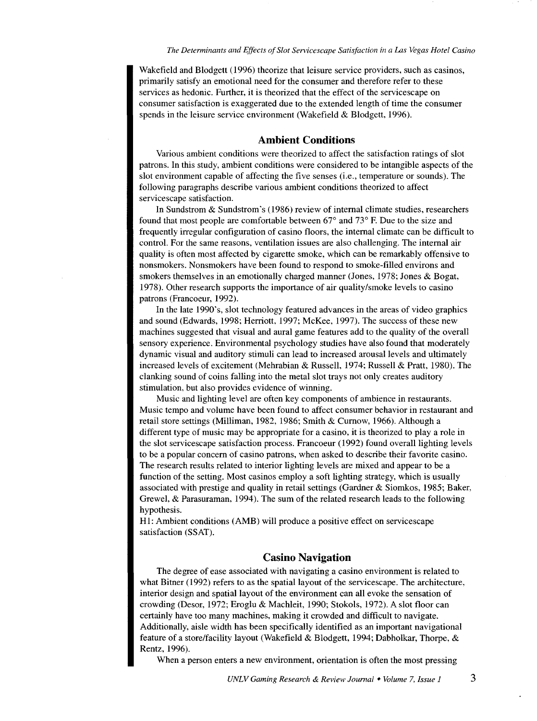Wakefield and Blodgett ( 1996) theorize that leisure service providers, such as casinos, primarily satisfy an emotional need for the consumer and therefore refer to these services as hedonic. Further, it is theorized that the effect of the servicescape on consumer satisfaction is exaggerated due to the extended length of time the consumer spends in the leisure service environment (Wakefield & Blodgett, 1996).

#### **Ambient Conditions**

Various ambient conditions were theorized to affect the satisfaction ratings of slot patrons. In this study, ambient conditions were considered to be intangible aspects of the slot environment capable of affecting the five senses (i.e., temperature or sounds). The following paragraphs describe various ambient conditions theorized to affect servicescape satisfaction.

In Sundstrom & Sundstrom's (1986) review of internal climate studies, researchers found that most people are comfortable between 67° and 73° F. Due to the size and frequently irregular configuration of casino floors, the internal climate can be difficult to control. For the same reasons, ventilation issues are also challenging. The internal air quality is often most affected by cigarette smoke, which can be remarkably offensive to nonsmokers. Nonsmokers have been found to respond to smoke-filled environs and smokers themselves in an emotionally charged manner (Jones, 1978; Jones & Bogat, 1978). Other research supports the importance of air quality/smoke levels to casino patrons (Francoeur, 1992).

In the late 1990's, slot technology featured advances in the areas of video graphics and sound (Edwards, 1998; Herriott, 1997; McKee, 1997). The success of these new machines suggested that visual and aural game features add to the quality of the overall sensory experience. Environmental psychology studies have also found that moderately dynamic visual and auditory stimuli can lead to increased arousal levels and ultimately increased levels of excitement (Mehrabian & Russell, 1974; Russell & Pratt, 1980). The clanking sound of coins falling into the metal slot trays not only creates auditory stimulation, but also provides evidence of winning.

Music and lighting level are often key components of ambience in restaurants. Music tempo and volume have been found to affect consumer behavior in restaurant and retail store settings (Milliman, 1982, 1986; Smith & Curnow, 1966). Although a different type of music may be appropriate for a casino, it is theorized to play a role in the slot servicescape satisfaction process. Francoeur (1992) found overall lighting levels to be a popular concern of casino patrons, when asked to describe their favorite casino. The research results related to interior lighting levels are mixed and appear to be a function of the setting. Most casinos employ a soft lighting strategy, which is usually associated with prestige and quality in retail settings (Gardner & Siomkos, 1985; Baker, Grewe!, & Parasuraman, 1994 ). The sum of the related research leads to the following hypothesis.

HI: Ambient conditions (AMB) will produce a positive effect on servicescape satisfaction (SSAT).

# **Casino Navigation**

The degree of ease associated with navigating a casino environment is related to what Bitner (1992) refers to as the spatial layout of the servicescape. The architecture, interior design and spatial layout of the environment can all evoke the sensation of crowding (Desor, 1972; Eroglu & Machleit, 1990; Stokols, 1972). A slot floor can certainly have too many machines, making it crowded and difficult to navigate. Additionally, aisle width has been specifically identified as an important navigational feature of a store/facility layout (Wakefield & Blodgett, 1994; Dabholkar, Thorpe, & Rentz, 1996).

When a person enters a new environment, orientation is often the most pressing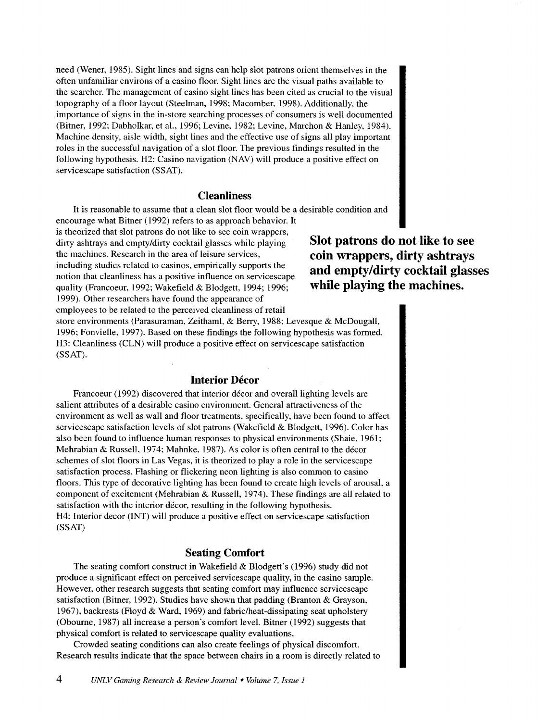need (Wener, 1985). Sight lines and signs can help slot patrons orient themselves in the often unfamiliar environs of a casino floor. Sight lines are the visual paths available to the searcher. The management of casino sight lines has been cited as crucial to the visual topography of a floor layout (Steelman, 1998; Macomber, 1998). Additionally, the importance of signs in the in-store searching processes of consumers is well documented (Bitner, 1992; Dabholkar, et al., 1996; Levine, 1982; Levine, Marchon & Hanley, 1984). Machine density, aisle width, sight lines and the effective use of signs all play important roles in the successful navigation of a slot floor. The previous findings resulted in the following hypothesis. H2: Casino navigation (NAV) will produce a positive effect on servicescape satisfaction (SSAT).

# **Cleanliness**

It is reasonable to assume that a clean slot floor would be a desirable condition and encourage what Bitner (1992) refers to as approach behavior. It

is theorized that slot patrons do not like to see coin wrappers, dirty ashtrays and empty/dirty cocktail glasses while playing the machines. Research in the area of leisure services, including studies related to casinos, empirically supports the notion that cleanliness has a positive influence on servicescape quality (Francoeur, 1992; Wakefield & Blodgett, 1994; 1996; 1999). Other researchers have found the appearance of employees to be related to the perceived cleanliness of retail

**Slot patrons do not like to see coin wrappers, dirty ashtrays and empty/dirty cocktail glasses while playing the machines.** 

store environments (Parasuraman, Zeithaml, & Berry, 1988; Levesque & McDougall, 1996; Fonvielle, 1997). Based on these findings the following hypothesis was formed. H3: Cleanliness (CLN) will produce a positive effect on servicescape satisfaction (SSAT).

# **Interior Décor**

Francoeur (1992) discovered that interior décor and overall lighting levels are salient attributes of a desirable casino environment. General attractiveness of the environment as well as wall and floor treatments, specifically, have been found to affect servicescape satisfaction levels of slot patrons (Wakefield & Blodgett, 1996). Color has also been found to influence human responses to physical environments (Shaie, 1961; Mehrabian & Russell, 1974; Mahnke, 1987). As color is often central to the decor schemes of slot floors in Las Vegas, it is theorized to play a role in the servicescape satisfaction process. Flashing or flickering neon lighting is also common to casino floors. This type of decorative lighting has been found to create high levels of arousal, a component of excitement (Mehrabian & Russell, 1974). These findings are all related to satisfaction with the interior decor, resulting in the following hypothesis. H4: Interior decor (INT) will produce a positive effect on servicescape satisfaction (SSAT)

# **Seating Comfort**

The seating comfort construct in Wakefield & Blodgett's (1996) study did not produce a significant effect on perceived servicescape quality, in the casino sample. However, other research suggests that seating comfort may influence servicescape satisfaction (Bitner, 1992). Studies have shown that padding (Branton & Grayson, 1967), backrests (Floyd & Ward, 1969) and fabric/heat-dissipating seat upholstery (Oboume, 1987) all increase a person's comfort level. Bitner (1992) suggests that physical comfort is related to servicescape quality evaluations.

Crowded seating conditions can also create feelings of physical discomfort. Research results indicate that the space between chairs in a room is directly related to

4 *UNLV Gaming Research* & *Review Joumal* • *Volume* 7, *Issue 1*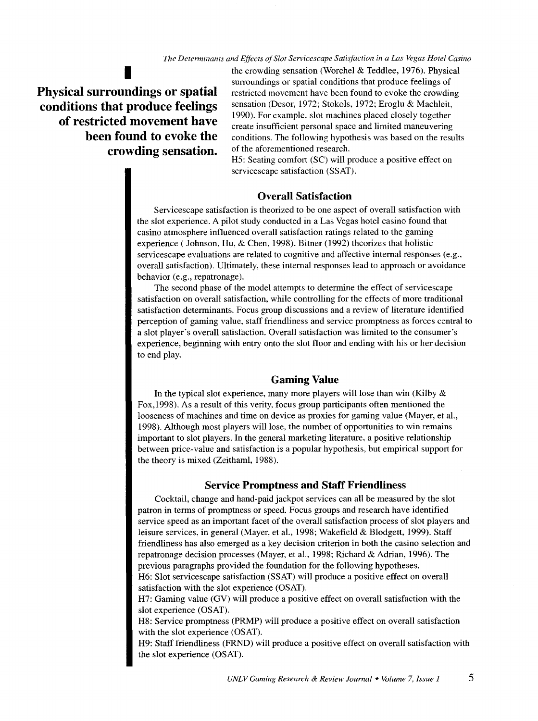*The Determinants and Effects of Slot Servicescape Satisfaction in a Las Vegas Hotel Casino* 

**Physical surroundings or spatial conditions that produce feelings of restricted movement have been found to evoke the**  crowding sensation. of the aforementioned research.

the crowding sensation (Worchel & Teddlee, 1976). Physical surroundings or spatial conditions that produce feelings of restricted movement have been found to evoke the crowding sensation (Desor, 1972; Stokols, 1972; Eroglu & Machleit, 1990). For example, slot machines placed closely together create insufficient personal space and limited maneuvering conditions. The following hypothesis was based on the results

H5: Seating comfort (SC) will produce a positive effect on servicescape satisfaction (SSAT).

# **Overall Satisfaction**

Servicescape satisfaction is theorized to be one aspect of overall satisfaction with the slot experience. A pilot study conducted in a Las Vegas hotel casino found that casino atmosphere influenced overall satisfaction ratings related to the gaming experience (Johnson, Hu, & Chen, 1998). Bitner (1992) theorizes that holistic servicescape evaluations are related to cognitive and affective internal responses (e.g., overall satisfaction). Ultimately, these internal responses lead to approach or avoidance behavior (e.g., repatronage).

The second phase of the model attempts to determine the effect of servicescape satisfaction on overall satisfaction, while controlling for the effects of more traditional satisfaction determinants. Focus group discussions and a review of literature identified perception of gaming value, staff friendliness and service promptness as forces central to a slot player's overall satisfaction. Overall satisfaction was limited to the consumer's experience, beginning with entry onto the slot floor and ending with his or her decision to end play.

## **Gaming Value**

In the typical slot experience, many more players will lose than win (Kilby  $\&$ Fox,1998). As a result of this verity, focus group participants often mentioned the looseness of machines and time on device as proxies for gaming value (Mayer, et al., 1998). Although most players will lose, the number of opportunities to win remains important to slot players. In the general marketing literature, a positive relationship between price-value and satisfaction is a popular hypothesis, but empirical support for the theory is mixed (Zeithaml, 1988).

#### **Service Promptness and Staff Friendliness**

Cocktail, change and hand-paid jackpot services can all be measured by the slot patron in terms of promptness or speed. Focus groups and research have identified service speed as an important facet of the overall satisfaction process of slot players and leisure services, in general (Mayer, et al., 1998; Wakefield & Blodgett, 1999). Staff friendliness has also emerged as a key decision criterion in both the casino selection and repatronage decision processes (Mayer, et al., 1998; Richard & Adrian, 1996). The previous paragraphs provided the foundation for the following hypotheses.

H6: Slot servicescape satisfaction (SSAT) will produce a positive effect on overall satisfaction with the slot experience (OSAT).

H7: Gaming value (GV) will produce a positive effect on overall satisfaction with the slot experience (OSAT).

H8: Service promptness (PRMP) will produce a positive effect on overall satisfaction with the slot experience (OSAT).

H9: Staff friendliness (FRND) will produce a positive effect on overall satisfaction with the slot experience (OSAT).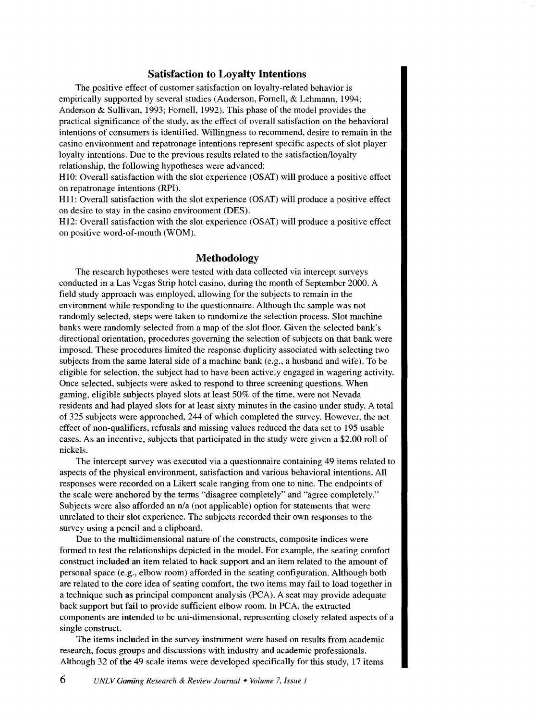# **Satisfaction to Loyalty Intentions**

The positive effect of customer satisfaction on loyalty-related behavior is empirically supported by several studies (Anderson, Fomell, & Lehmann, 1994; Anderson & Sullivan, 1993; Fomell, 1992). This phase of the model provides the practical significance of the study, as the effect of overall satisfaction on the behavioral intentions of consumers is identified. Willingness to recommend, desire to remain in the casino environment and repatronage intentions represent specific aspects of slot player loyalty intentions. Due to the previous results related to the satisfaction/loyalty relationship, the following hypotheses were advanced:

HlO: Overall satisfaction with the slot experience (OSAT) will produce a positive effect on repatronage intentions (RPI).

H<sub>11</sub>: Overall satisfaction with the slot experience (OSAT) will produce a positive effect on desire to stay in the casino environment (DES).

H12: Overall satisfaction with the slot experience (OSAT) will produce a positive effect on positive word-of-mouth (WOM).

# **Methodology**

The research hypotheses were tested with data collected via intercept surveys conducted in a Las Vegas Strip hotel casino, during the month of September 2000. A field study approach was employed, allowing for the subjects to remain in the environment while responding to the questionnaire. Although the sample was not randomly selected, steps were taken to randomize the selection process. Slot machine banks were randomly selected from a map of the slot floor. Given the selected bank's directional orientation, procedures governing the selection of subjects on that bank were imposed. These procedures limited the response duplicity associated with selecting two subjects from the same lateral side of a machine bank (e.g., a husband and wife). To be eligible for selection, the subject had to have been actively engaged in wagering activity. Once selected, subjects were asked to respond to three screening questions. When gaming, eligible subjects played slots at least 50% of the time, were not Nevada residents and had played slots for at least sixty minutes in the casino under study. A total of 325 subjects were approached, 244 of which completed the survey. However, the net effect of non-qualifiers, refusals and missing values reduced the data set to 195 usable cases. As an incentive, subjects that participated in the study were given a \$2.00 roll of nickels.

The intercept survey was executed via a questionnaire containing 49 items related to aspects of the physical environment, satisfaction and various behavioral intentions. All responses were recorded on a Likert scale ranging from one to nine. The endpoints of the scale were anchored by the terms "disagree completely" and "agree completely." Subjects were also afforded an n/a (not applicable) option for statements that were unrelated to their slot experience. The subjects recorded their own responses to the survey using a pencil and a clipboard.

Due to the multidimensional nature of the constructs, composite indices were formed to test the relationships depicted in the model. For example, the seating comfort construct included an item related to back support and an item related to the amount of personal space (e.g., elbow room) afforded in the seating configuration. Although both are related to the core idea of seating comfort, the two items may fail to load together in a technique such as principal component analysis (PCA). A seat may provide adequate back support but fail to provide sufficient elbow room. In PCA, the extracted components are intended to be uni-dimensional, representing closely related aspects of a single construct.

The items included in the survey instrument were based on results from academic research, focus groups and discussions with industry and academic professionals. Although 32 of the 49 scale items were developed specifically for this study, 17 items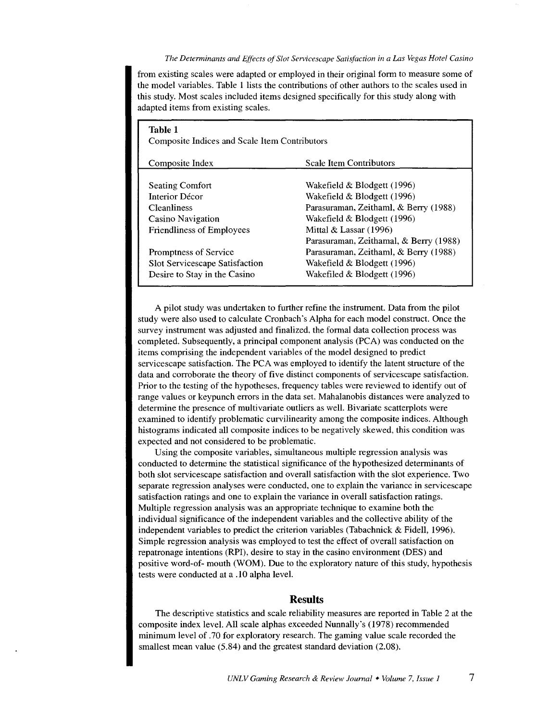#### *The Detem1inants and Effects of Slot Servicescape Satisfaction in a Las Vegas Hotel Casino*

from existing scales were adapted or employed in their original form to measure some of the model variables. Table 1 lists the contributions of other authors to the scales used in this study. Most scales included items designed specifically for this study along with adapted items from existing scales.

| Table 1<br><b>Composite Indices and Scale Item Contributors</b> |                                        |  |  |  |  |  |
|-----------------------------------------------------------------|----------------------------------------|--|--|--|--|--|
| Composite Index                                                 | <b>Scale Item Contributors</b>         |  |  |  |  |  |
| <b>Seating Comfort</b>                                          | Wakefield & Blodgett (1996)            |  |  |  |  |  |
| Interior Décor                                                  | Wakefield & Blodgett (1996)            |  |  |  |  |  |
| <b>Cleanliness</b>                                              | Parasuraman, Zeithaml, & Berry (1988)  |  |  |  |  |  |
| Casino Navigation                                               | Wakefield $& \text{Blodgett (1996)}$   |  |  |  |  |  |
| <b>Friendliness of Employees</b>                                | Mittal $&$ Lassar (1996)               |  |  |  |  |  |
|                                                                 | Parasuraman, Zeithamal, & Berry (1988) |  |  |  |  |  |
| Promptness of Service                                           | Parasuraman, Zeithaml, & Berry (1988)  |  |  |  |  |  |
| Slot Servicescape Satisfaction                                  | Wakefield & Blodgett (1996)            |  |  |  |  |  |
| Desire to Stay in the Casino                                    | Wakefiled & Blodgett (1996)            |  |  |  |  |  |

A pilot study was undertaken to further refine the instrument. Data from the pilot study were also used to calculate Cronbach · s Alpha for each model construct. Once the survey instrument was adjusted and finalized, the formal data collection process was completed. Subsequently, a principal component analysis (PCA) was conducted on the items comprising the independent variables of the model designed to predict servicescape satisfaction. The PCA was employed to identify the latent structure of the data and corroborate the theory of five distinct components of servicescape satisfaction. Prior to the testing of the hypotheses, frequency tables were reviewed to identify out of range values or keypunch errors in the data set. Mahalanobis distances were analyzed to determine the presence of multivariate outliers as well. Bivariate scatterplots were examined to identify problematic curvilinearity among the composite indices. Although histograms indicated all composite indices to be negatively skewed, this condition was expected and not considered to be problematic.

Using the composite variables, simultaneous multiple regression analysis was conducted to determine the statistical significance of the hypothesized determinants of both slot servicescape satisfaction and overall satisfaction with the slot experience. Two separate regression analyses were conducted, one to explain the variance in servicescape satisfaction ratings and one to explain the variance in overall satisfaction ratings. Multiple regression analysis was an appropriate technique to examine both the individual significance of the independent variables and the collective ability of the independent variables to predict the criterion variables (Tabachnick & Fidell, 1996). Simple regression analysis was employed to test the effect of overall satisfaction on repatronage intentions (RPI), desire to stay in the casino environment (DES) and positive word-of- mouth (WOM). Due to the exploratory nature of this study, hypothesis tests were conducted at a .10 alpha level.

# **Results**

The descriptive statistics and scale reliability measures are reported in Table 2 at the composite index level. All scale alphas exceeded Nunnally's (1978) recommended minimum level of . 70 for exploratory research. The gaming value scale recorded the smallest mean value (5.84) and the greatest standard deviation (2.08).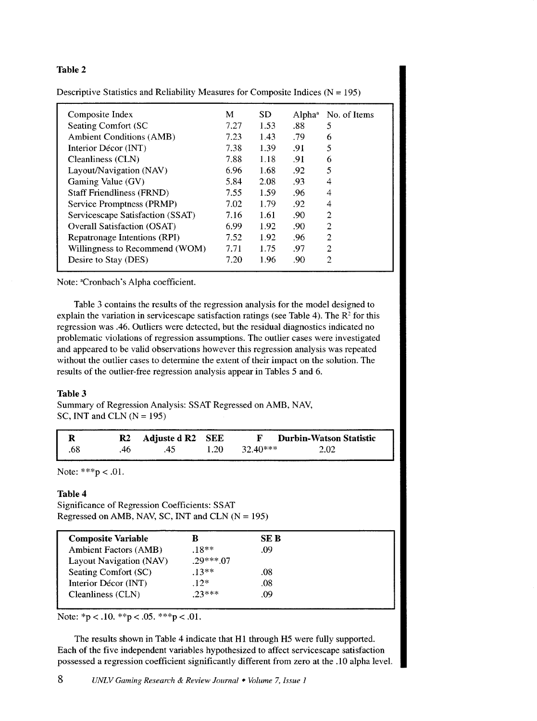# **Table 2**

| Composite Index                    | M    | SD.  | Alpha <sup>a</sup> | No. of Items   |
|------------------------------------|------|------|--------------------|----------------|
| Seating Comfort (SC)               | 7.27 | 1.53 | .88                | 5              |
| <b>Ambient Conditions (AMB)</b>    | 7.23 | 1.43 | .79                | 6              |
| Interior Décor (INT)               | 7.38 | 1.39 | .91                | 5              |
| Cleanliness (CLN)                  | 7.88 | 1.18 | .91                | 6              |
| Layout/Navigation (NAV)            | 6.96 | 1.68 | .92                | 5              |
| Gaming Value (GV)                  | 5.84 | 2.08 | .93                | 4              |
| <b>Staff Friendliness (FRND)</b>   | 7.55 | 1.59 | .96                | 4              |
| Service Promptness (PRMP)          | 7.02 | 1.79 | .92                | 4              |
| Servicescape Satisfaction (SSAT)   | 7.16 | 1.61 | .90                | 2              |
| <b>Overall Satisfaction (OSAT)</b> | 6.99 | 1.92 | .90 <sub>0</sub>   | $\overline{2}$ |
| Repatronage Intentions (RPI)       | 7.52 | 1.92 | .96                | 2              |
| Willingness to Recommend (WOM)     | 7.71 | 1.75 | .97                | $\overline{2}$ |
| Desire to Stay (DES)               | 7.20 | 1.96 | .90                | 2              |
|                                    |      |      |                    |                |

Descriptive Statistics and Reliability Measures for Composite Indices ( $N = 195$ )

Note: <sup>a</sup>Cronbach's Alpha coefficient.

Table 3 contains the results of the regression analysis for the model designed to explain the variation in servicescape satisfaction ratings (see Table 4). The *R2* for this regression was .46. Outliers were detected, but the residual diagnostics indicated no problematic violations of regression assumptions. The outlier cases were investigated and appeared to be valid observations however this regression analysis was repeated without the outlier cases to determine the extent of their impact on the solution. The results of the outlier-free regression analysis appear in Tables 5 and 6.

#### **Table 3**

Summary of Regression Analysis: SSAT Regressed on AMB, NAV, SC, INT and CLN  $(N = 195)$ 

| l R |      | R <sub>2</sub> Adjuste d R <sub>2</sub> SEE |                        | <b>F</b> Durbin-Watson Statistic |
|-----|------|---------------------------------------------|------------------------|----------------------------------|
| .68 | -46. | -45                                         | $1.20 \qquad 32.40***$ | 2.02                             |

Note: \*\*\*p < .01.

# **Table 4**

Significance of Regression Coefficients: SSAT Regressed on AMB, NAV, SC, INT and CLN  $(N = 195)$ 

| <b>Composite Variable</b>    |            | SE B |
|------------------------------|------------|------|
| <b>Ambient Factors (AMB)</b> | $.18**$    | .09  |
| Layout Navigation (NAV)      | $.29***07$ |      |
| Seating Comfort (SC)         | $13**$     | .08  |
| Interior Décor (INT)         | $12*$      | .08  |
| Cleanliness (CLN)            | $23***$    | 09   |
|                              |            |      |

Note:  $*_{p}$  < .10.  $*_{p}$  < .05.  $*_{p}$  < .01.

The results shown in Table 4 indicate that H1 through H5 were fully supported. Each of the five independent variables hypothesized to affect servicescape satisfaction possessed a regression coefficient significantly different from zero at the .10 alpha level.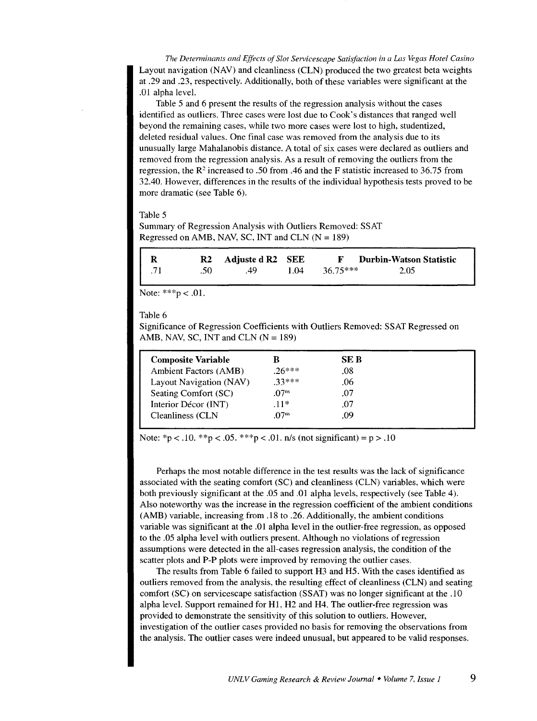*The Detenninants and Effects of Slot Servicescape Satisfaction in a Las Vegas Hotel Casino*  Layout navigation (NAY) and cleanliness (CLN) produced the two greatest beta weights at .29 and .23, respectively. Additionally, both of these variables were significant at the .01 alpha level.

Table 5 and 6 present the results of the regression analysis without the cases identified as outliers. Three cases were lost due to Cook's distances that ranged well beyond the remaining cases, while two more cases were lost to high, studentized, deleted residual values. One final case was removed from the analysis due to its unusually large Mahalanobis distance. A total of six cases were declared as outliers and removed from the regression analysis. As a result of removing the outliers from the regression, the *R2* increased to .50 from .46 and the F statistic increased to 36.75 from 32.40. However, differences in the results of the individual hypothesis tests proved to be more dramatic (see Table 6).

Table 5

Summary of Regression Analysis with Outliers Removed: SSAT Regressed on AMB, NAV, SC, INT and CLN  $(N = 189)$ 

| -R  |         | R2 Adjuste d R2 SEE |      | <b>F</b> Durbin-Watson Statistic |  |
|-----|---------|---------------------|------|----------------------------------|--|
| .71 | - .50 - | - 49                | 1.04 | $36.75***$<br>2.05               |  |

Note:  $***p < .01$ .

Table 6

Significance of Regression Coefficients with Outliers Removed: SSAT Regressed on AMB, NAV, SC, INT and CLN  $(N = 189)$ 

| <b>Composite Variable</b>    | B                 | SE B |  |
|------------------------------|-------------------|------|--|
| <b>Ambient Factors (AMB)</b> | $26***$           | .08  |  |
| Layout Navigation (NAV)      | $23***$           | .06  |  |
| Seating Comfort (SC)         | .07 <sup>ns</sup> | .07  |  |
| Interior Décor (INT)         | $.11*$            | .07  |  |
| Cleanliness (CLN             | .07 <sup>ns</sup> | .09  |  |
|                              |                   |      |  |

Note: \*p < .10. \*\*p < .05. \*\*\*p < .01. n/s (not significant) = p > .10

Perhaps the most notable difference in the test results was the lack of significance associated with the seating comfort (SC) and cleanliness (CLN) variables, which were both previously significant at the .05 and .01 alpha levels, respectively (see Table 4). Also noteworthy was the increase in the regression coefficient of the ambient conditions (AMB) variable, increasing from .18 to .26. Additionally, the ambient conditions variable was significant at the .01 alpha level in the outlier-free regression, as opposed to the .05 alpha level with outliers present. Although no violations of regression assumptions were detected in the all-cases regression analysis, the condition of the scatter plots and P-P plots were improved by removing the outlier cases.

The results from Table 6 failed to support H3 and H5. With the cases identified as outliers removed from the analysis, the resulting effect of cleanliness (CLN) and seating comfort (SC) on servicescape satisfaction (SSAT) was no longer significant at the .10 alpha level. Support remained for HI, H2 and H4. The outlier-free regression was provided to demonstrate the sensitivity of this solution to outliers. However, investigation of the outlier cases provided no basis for removing the observations from the analysis. The outlier cases were indeed unusual, but appeared to be valid responses.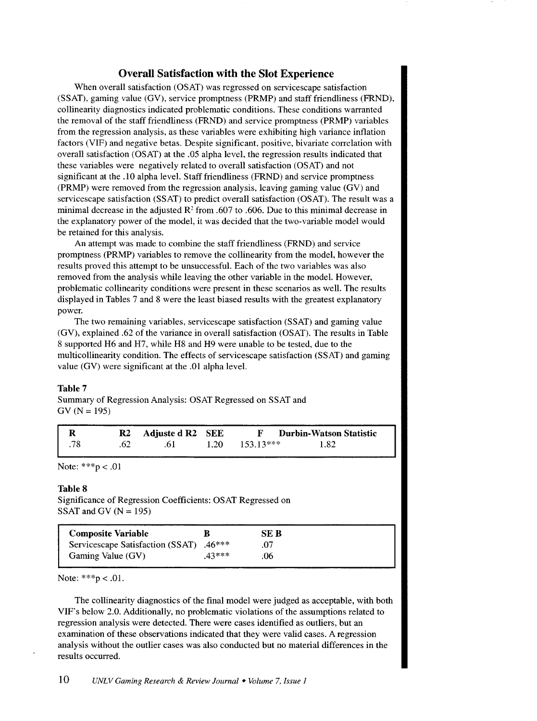# Overall Satisfaction with the Slot Experience

When overall satisfaction (OSAT) was regressed on servicescape satisfaction (SSAT), gaming value (GV), service promptness (PRMP) and staff friendliness (FRND), collinearity diagnostics indicated problematic conditions. These conditions warranted the removal of the staff friendliness (FRND) and service promptness (PRMP) variables from the regression analysis, as these variables were exhibiting high variance inflation factors (VIF) and negative betas. Despite significant, positive, bivariate correlation with overall satisfaction (OSAT) at the .05 alpha level, the regression results indicated that these variables were negatively related to overall satisfaction (OSAT) and not significant at the .10 alpha level. Staff friendliness (FRND) and service promptness (PRMP) were removed from the regression analysis, leaving gaming value (GV) and servicescape satisfaction (SSAT) to predict overall satisfaction (OSAT). The result was a minimal decrease in the adjusted  $R^2$  from .607 to .606. Due to this minimal decrease in the explanatory power of the model, it was decided that the two-variable model would be retained for this analysis.

An attempt was made to combine the staff friendliness (FRND) and service promptness (PRMP) variables to remove the collinearity from the model, however the results proved this attempt to be unsuccessful. Each of the two variables was also removed from the analysis while leaving the other variable in the model. However, problematic collinearity conditions were present in these scenarios as well. The results displayed in Tables 7 and 8 were the least biased results with the greatest explanatory power.

The two remaining variables, servicescape satisfaction (SSAT) and gaming value (GV), explained .62 of the variance in overall satisfaction (OSAT). The results in Table 8 supported H6 and H7, while H8 and H9 were unable to be tested, due to the multicollinearity condition. The effects of servicescape satisfaction (SSAT) and gaming value (GV) were significant at the .01 alpha level.

#### Table 7

Summary of Regression Analysis: OSAT Regressed on SSAT and  $GV (N = 195)$ 

|  | R2 Adjuste d R2 SEE | <b>Durbin-Watson Statistic</b>  |
|--|---------------------|---------------------------------|
|  | .6 I                | $1.20 \qquad 153.13***$<br>1.82 |

Note:  $***p < .01$ 

#### Table 8

Significance of Regression Coefficients: OSAT Regressed on SSAT and GV ( $N = 195$ )

| Composite Variable                      |         | SE B |
|-----------------------------------------|---------|------|
| Servicescape Satisfaction (SSAT) .46*** |         |      |
| Gaming Value (GV)                       | $43***$ | .06  |

Note:  $***p < .01$ .

The collinearity diagnostics of the final model were judged as acceptable, with both VIF's below 2.0. Additionally, no problematic violations of the assumptions related to regression analysis were detected. There were cases identified as outliers, but an examination of these observations indicated that they were valid cases. A regression analysis without the outlier cases was also conducted but no material differences in the results occurred.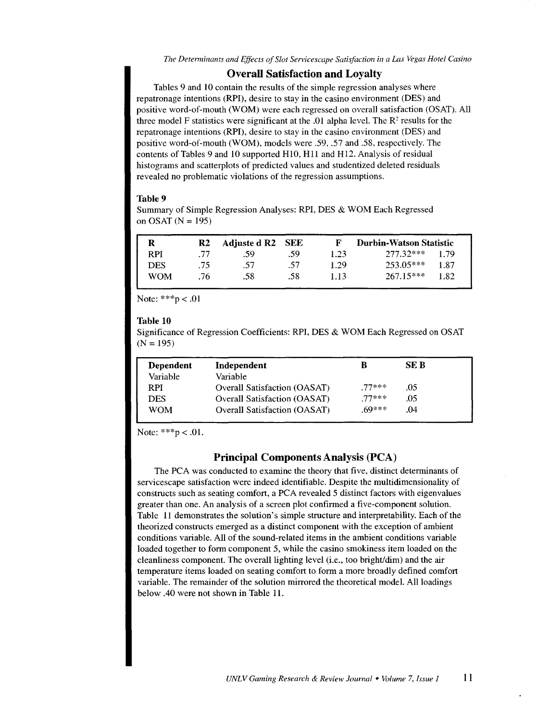#### Overall Satisfaction and Loyalty

Tables 9 and 10 contain the results of the simple regression analyses where repatronage intentions (RPI), desire to stay in the casino environment (DES) and positive word-of-mouth (WOM) were each regressed on overall satisfaction (OSAT). All three model F statistics were significant at the .01 alpha level. The  $\mathbb{R}^2$  results for the repatronage intentions (RPI), desire to stay in the casino environment (DES) and positive word-of-mouth (WOM), models were .59, .57 and .58, respectively. The contents of Tables 9 and 10 supported H10, Hll and Hl2. Analysis of residual histograms and scatterplots of predicted values and studentized deleted residuals revealed no problematic violations of the regression assumptions.

#### Table 9

Summary of Simple Regression Analyses: RPI, DES & WOM Each Regressed on OSAT (N *=* 195)

| R          | R2  | Adjuste d R <sub>2</sub> SEE |     |      | Durbin-Watson Statistic |      |
|------------|-----|------------------------------|-----|------|-------------------------|------|
| <b>RPI</b> | -77 | .59.                         | .59 | 1.23 | 277.32***               | l 79 |
| <b>DES</b> | .75 | .57                          | .57 | 1.29 | $253.05***$             | 1.87 |
| WOM        | .76 | .58                          | .58 | 1.13 | $267.15***$             | l.82 |

Note: \*\*\*p < .01

#### Table 10

Significance of Regression Coefficients: RPI, DES & WOM Each Regressed on OSAT  $(N = 195)$ 

| Dependent | Independent                         | В       | SE B |  |
|-----------|-------------------------------------|---------|------|--|
| Variable  | Variable                            |         |      |  |
| RPI.      | <b>Overall Satisfaction (OASAT)</b> | $77***$ | .05  |  |
| DES       | <b>Overall Satisfaction (OASAT)</b> | $77***$ | .05  |  |
| WOM       | <b>Overall Satisfaction (OASAT)</b> | $69***$ | .04  |  |

Note:  $***p < .01$ .

# Principal Components Analysis (PCA)

The PCA was conducted to examine the theory that five, distinct determinants of servicescape satisfaction were indeed identifiable. Despite the multidimensionality of constructs such as seating comfort, a PCA revealed 5 distinct factors with eigenvalues greater than one. An analysis of a screen plot confirmed a five-component solution. Table 11 demonstrates the solution's simple structure and interpretability. Each of the theorized constructs emerged as a distinct component with the exception of ambient conditions variable. All of the sound-related items in the ambient conditions variable loaded together to form component 5, while the casino smokiness item loaded on the cleanliness component. The overall lighting level (i.e., too bright/dim) and the air temperature items loaded on seating comfort to form a more broadly defined comfort variable. The remainder of the solution mirrored the theoretical model. All loadings below .40 were not shown in Table 11.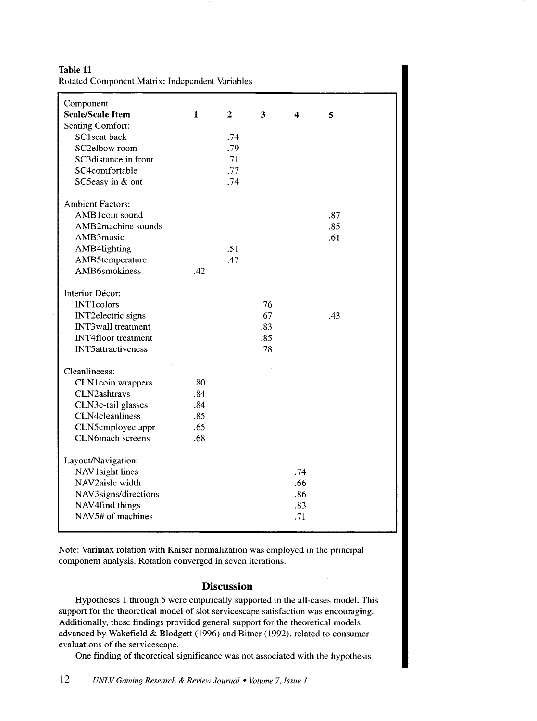Table 11 Rotated Component Matrix: Independent Variables

| Component                  |              |              |     |                  |     |
|----------------------------|--------------|--------------|-----|------------------|-----|
| <b>Scale/Scale Item</b>    | $\mathbf{1}$ | $\mathbf{2}$ | 3   | $\boldsymbol{4}$ | 5   |
| <b>Seating Comfort:</b>    |              |              |     |                  |     |
| SC1seat back               |              | .74          |     |                  |     |
| SC2elbow room              |              | .79          |     |                  |     |
| SC3distance in front       |              | .71          |     |                  |     |
| SC4comfortable             |              | .77          |     |                  |     |
| SC5easy in & out           |              | .74          |     |                  |     |
|                            |              |              |     |                  |     |
| <b>Ambient Factors:</b>    |              |              |     |                  |     |
| AMB1coin sound             |              |              |     |                  | .87 |
| AMB2machine sounds         |              |              |     |                  | .85 |
| AMB3music                  |              |              |     |                  | .61 |
| AMB4lighting               |              | .51          |     |                  |     |
| AMB5temperature            |              | .47          |     |                  |     |
| AMB6smokiness              | .42          |              |     |                  |     |
|                            |              |              |     |                  |     |
| Interior Décor:            |              |              |     |                  |     |
| <b>INT1colors</b>          |              |              | .76 |                  |     |
| <b>INT2electric</b> signs  |              |              | .67 |                  | .43 |
| <b>INT3wall</b> treatment  |              |              | .83 |                  |     |
| <b>INT4floor</b> treatment |              |              | .85 |                  |     |
| <b>INT5attractiveness</b>  |              |              | .78 |                  |     |
|                            |              |              |     |                  |     |
| Cleanlineess:              |              |              |     |                  |     |
| CLN1coin wrappers          | .80          |              |     |                  |     |
| CLN2ashtrays               | .84          |              |     |                  |     |
| CLN3c-tail glasses         | .84          |              |     |                  |     |
| CLN4cleanliness            | .85          |              |     |                  |     |
| CLN5employee appr          | .65          |              |     |                  |     |
| <b>CLN6mach</b> screens    | .68          |              |     |                  |     |
| Layout/Navigation:         |              |              |     |                  |     |
| NAV1 sight lines           |              |              |     | .74              |     |
| NAV2aisle width            |              |              |     | .66              |     |
| NAV3signs/directions       |              |              |     | .86              |     |
| NAV4find things            |              |              |     | .83              |     |
| NAV5# of machines          |              |              |     | .71              |     |
|                            |              |              |     |                  |     |

Note: Varimax rotation with Kaiser normalization was employed in the principal component analysis. Rotation converged in seven iterations.

# Discussion

Hypotheses 1 through 5 were empirically supported in the all-cases model. This support for the theoretical model of slot servicescape satisfaction was encouraging. Additionally, these findings provided general support for the theoretical models advanced by Wakefield & Blodgett (1996) and Bitner (1992), related to consumer evaluations of the servicescape.

One finding of theoretical significance was not associated with the hypothesis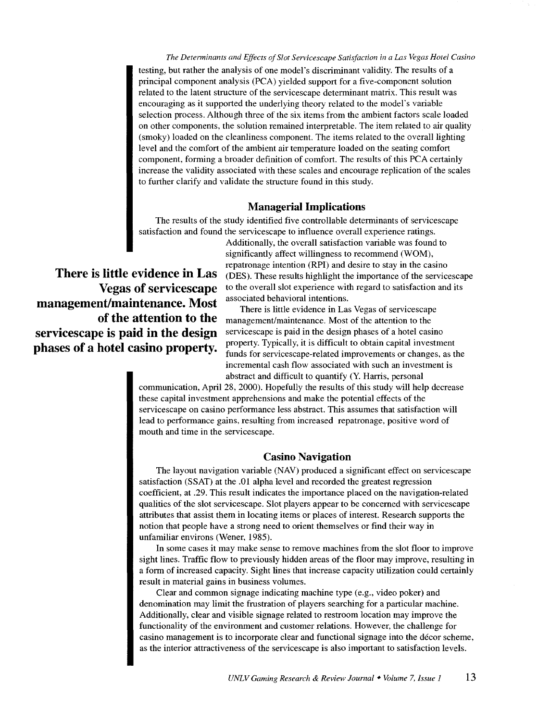*The Determinants and Effects of Slot Servicescape Satisfaction in a Las Vegas Hotel Casino*  testing, but rather the analysis of one model's discriminant validity. The results of a principal component analysis (PCA) yielded support for a five-component solution related to the latent structure of the servicescape determinant matrix. This result was encouraging as it supported the underlying theory related to the model's variable selection process. Although three of the six items from the ambient factors scale loaded on other components, the solution remained interpretable. The item related to air quality (smoky) loaded on the cleanliness component. The items related to the overall lighting level and the comfort of the ambient air temperature loaded on the seating comfort component, forming a broader definition of comfort. The results of this PCA certainly increase the validity associated with these scales and encourage replication of the scales to further clarify and validate the structure found in this study.

## **Managerial Implications**

The results of the study identified five controllable determinants of servicescape satisfaction and found the servicescape to influence overall experience ratings.

**Vegas of servicescape management/maintenance. Most of the attention to the servicescape is paid in the design phases of a hotel casino property.** 

Additionally, the overall satisfaction variable was found to significantly affect willingness to recommend (WOM), repatronage intention (RPI) and desire to stay in the casino **There is little evidence in Las** (DES). These results highlight the importance of the servicescape to the overall slot experience with regard to satisfaction and its associated behavioral intentions.

> There is little evidence in Las Vegas of servicescape management/maintenance. Most of the attention to the servicescape is paid in the design phases of a hotel casino property. Typically, it is difficult to obtain capital investment funds for servicescape-related improvements or changes, as the incremental cash flow associated with such an investment is abstract and difficult to quantify (Y. Harris, personal

communication, April 28, 2000). Hopefully the results of this study will help decrease these capital investment apprehensions and make the potential effects of the servicescape on casino performance less abstract. This assumes that satisfaction will lead to performance gains, resulting from increased repatronage, positive word of mouth and time in the servicescape.

#### **Casino Navigation**

The layout navigation variable (NAV) produced a significant effect on servicescape satisfaction (SSAT) at the .01 alpha level and recorded the greatest regression coefficient, at .29. This result indicates the importance placed on the navigation-related qualities of the slot servicescape. Slot players appear to be concerned with servicescape attributes that assist them in locating items or places of interest. Research supports the notion that people have a strong need to orient themselves or find their way in unfamiliar environs (Wener, 1985).

In some cases it may make sense to remove machines from the slot floor to improve sight lines. Traffic flow to previously hidden areas of the floor may improve, resulting in a form of increased capacity. Sight lines that increase capacity utilization could certainly result in material gains in business volumes.

Clear and common signage indicating machine type (e.g., video poker) and denomination may limit the frustration of players searching for a particular machine. Additionally, clear and visible signage related to restroom location may improve the functionality of the environment and customer relations. However, the challenge for casino management is to incorporate clear and functional signage into the decor scheme, as the interior attractiveness of the servicescape is also important to satisfaction levels.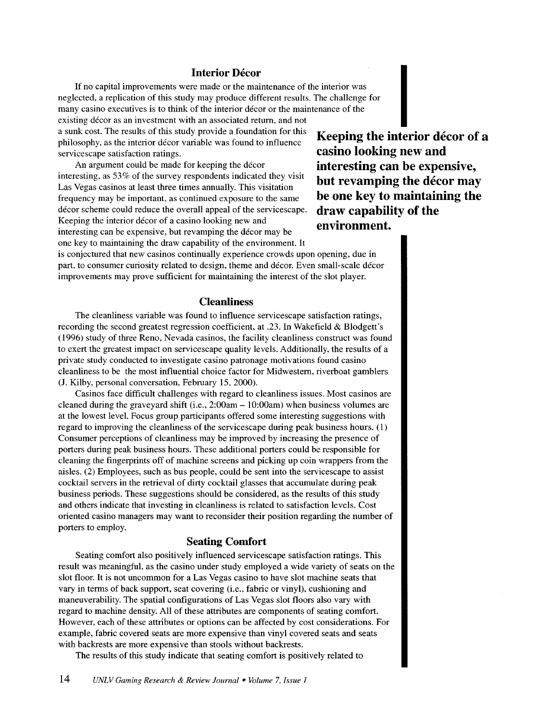#### **Interior Décor**

If no capital improvements were made or the maintenance of the interior was neglected, a replication of this study may produce different results. The challenge for many casino executives is to think of the interior decor or the maintenance of the existing décor as an investment with an associated return, and not a sunk cost. The results of this study provide a foundation for this philosophy, as the interior decor variable was found to influence servicescape satisfaction ratings.

An argument could be made for keeping the décor interesting, as 53% of the survey respondents indicated they visit Las Vegas casinos at least three times annually. This visitation frequency may be important, as continued exposure to the same décor scheme could reduce the overall appeal of the servicescape. Keeping the interior décor of a casino looking new and interesting can be expensive, but revamping the décor may be one key to maintaining the draw capability of the environment. It

**Keeping the interior décor of a casino looking new and interesting can be expensive, but revamping the decor may be one key to maintaining the draw capability of the environment.** 

is conjectured that new casinos continually experience crowds upon opening, due in part, to consumer curiosity related to design, theme and decor. Even small-scale decor improvements may prove sufficient for maintaining the interest of the slot player.

# **Cleanliness**

The cleanliness variable was found to influence servicescape satisfaction ratings, recording the second greatest regression coefficient, at .23. In Wakefield & Blodgett's (1996) study of three Reno, Nevada casinos, the facility cleanliness construct was found to exert the greatest impact on servicescape quality levels. Additionally, the results of a private study conducted to investigate casino patronage motivations found casino cleanliness to be the most influential choice factor for Midwestern, riverboat gamblers (J. Kilby, personal conversation, February 15, 2000).

Casinos face difficult challenges with regard to cleanliness issues. Most casinos are cleaned during the graveyard shift (i.e.,  $2:00$ am  $- 10:00$ am) when business volumes are at the lowest level. Focus group participants offered some interesting suggestions with regard to improving the cleanliness of the servicescape during peak business hours. ( 1) Consumer perceptions of cleanliness may be improved by increasing the presence of porters during peak business hours. These additional porters could be responsible for cleaning the fingerprints off of machine screens and picking up coin wrappers from the aisles. (2) Employees, such as bus people, could be sent into the servicescape to assist cocktail servers in the retrieval of dirty cocktail glasses that accumulate during peak business periods. These suggestions should be considered, as the results of this study and others indicate that investing in cleanliness is related to satisfaction levels. Cost oriented casino managers may want to reconsider their position regarding the number of porters to employ.

# **Seating Comfort**

Seating comfort also positively influenced servicescape satisfaction ratings. This result was meaningful, as the casino under study employed a wide variety of seats on the slot floor. It is not uncommon for a Las Vegas casino to have slot machine seats that vary in terms of back support, seat covering (i.e., fabric or vinyl), cushioning and maneuverability. The spatial configurations of Las Vegas slot floors also vary with regard to machine density. All of these attributes are components of seating comfort. However, each of these attributes or options can be affected by cost considerations. For example, fabric covered seats are more expensive than vinyl covered seats and seats with backrests are more expensive than stools without backrests.

The results of this study indicate that seating comfort is positively related to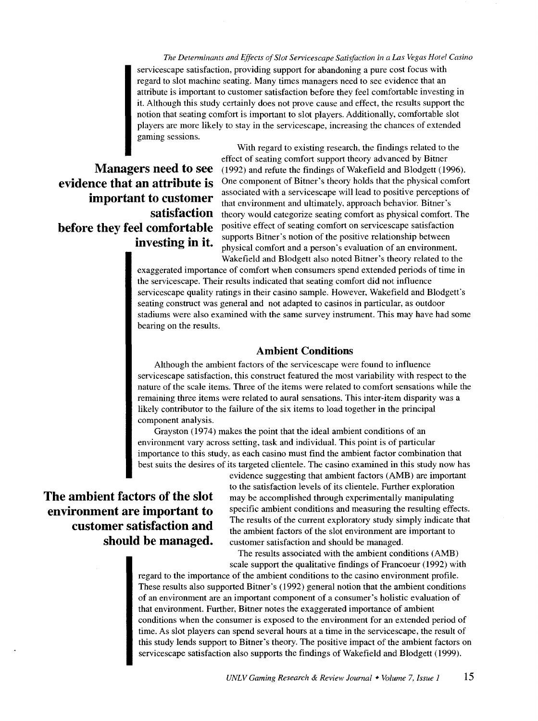*The Detenninants and Effects of Slot Servicescape Satisfaction in a Las Vegas Hotel Casino*  servicescape satisfaction, providing support for abandoning a pure cost focus with regard to slot machine seating. Many times managers need to see evidence that an attribute is important to customer satisfaction before they feel comfortable investing in it. Although this study certainly does not prove cause and effect, the results support the notion that seating comfort is important to slot players. Additionally, comfortable slot players are more likely to stay in the servicescape, increasing the chances of extended gaming sessions.

**Managers need to see evidence that an attribute is important to customer satisfaction before they feel comfortable investing in it.** 

With regard to existing research, the findings related to the effect of seating comfort support theory advanced by Bitner (1992) and refute the findings of Wakefield and Blodgett (1996). One component of Bitner's theory holds that the physical comfort associated with a servicescape will lead to positive perceptions of that environment and ultimately, approach behavior. Bitner's theory would categorize seating comfort as physical comfort. The positive effect of seating comfort on servicescape satisfaction supports Bitner's notion of the positive relationship between physical comfort and a person's evaluation of an environment. Wakefield and Blodgett also noted Bitner's theory related to the

exaggerated importance of comfort when consumers spend extended periods of time in the servicescape. Their results indicated that seating comfort did not influence servicescape quality ratings in their casino sample. However, Wakefield and Blodgett's seating construct was general and not adapted to casinos in particular, as outdoor stadiums were also examined with the same survey instrument. This may have had some bearing on the results.

# **Ambient Conditions**

Although the ambient factors of the servicescape were found to influence servicescape satisfaction, this construct featured the most variability with respect to the nature of the scale items. Three of the items were related to comfort sensations while the remaining three items were related to aural sensations. This inter-item disparity was a likely contributor to the failure of the six items to load together in the principal component analysis.

Grayston (1974) makes the point that the ideal ambient conditions of an environment vary across setting, task and individual. This point is of particular importance to this study, as each casino must find the ambient factor combination that best suits the desires of its targeted clientele. The casino examined in this study now has

# **The ambient factors of the slot environment are important to customer satisfaction and should be managed.**

evidence suggesting that ambient factors (AMB) are important to the satisfaction levels of its clientele. Further exploration may be accomplished through experimentally manipulating specific ambient conditions and measuring the resulting effects. The results of the current exploratory study simply indicate that the ambient factors of the slot environment are important to customer satisfaction and should be managed.

The results associated with the ambient conditions (AMB) scale support the qualitative findings of Francoeur ( 1992) with

regard to the importance of the ambient conditions to the casino environment profile. These results also supported Bitner's (1992) general notion that the ambient conditions of an environment are an important component of a consumer's holistic evaluation of that environment. Further, Bitner notes the exaggerated importance of ambient conditions when the consumer is exposed to the environment for an extended period of time. As slot players can spend several hours at a time in the servicescape, the result of this study lends support to Bitner's theory. The positive impact of the ambient factors on servicescape satisfaction also supports the findings of Wakefield and Blodgett (1999).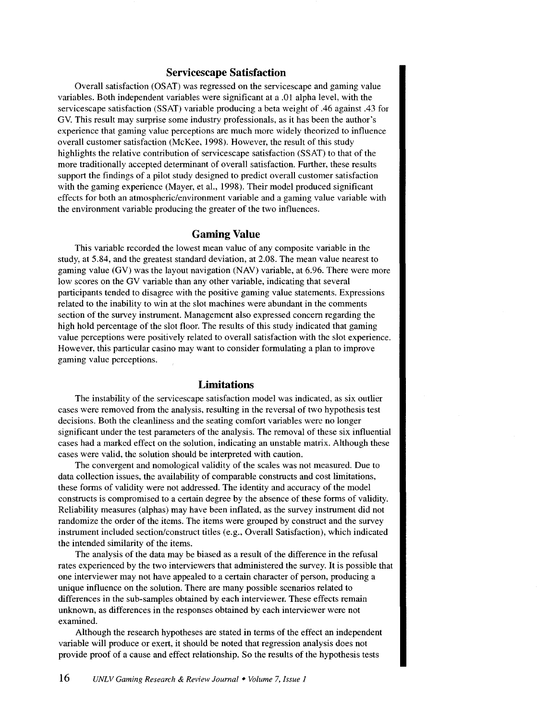#### **Servicescape Satisfaction**

Overall satisfaction (OSAT) was regressed on the servicescape and gaming value variables. Both independent variables were significant at a .01 alpha level, with the servicescape satisfaction (SSAT) variable producing a beta weight of .46 against .43 for GV. This result may surprise some industry professionals, as it has been the author's experience that gaming value perceptions are much more widely theorized to influence overall customer satisfaction (McKee, 1998). However, the result of this study highlights the relative contribution of servicescape satisfaction (SSAT) to that of the more traditionally accepted determinant of overall satisfaction. Further, these results support the findings of a pilot study designed to predict overall customer satisfaction with the gaming experience (Mayer, et al., 1998). Their model produced significant effects for both an atmospheric/environment variable and a gaming value variable with the environment variable producing the greater of the two influences.

# **Gaming Value**

This variable recorded the lowest mean value of any composite variable in the study, at 5.84, and the greatest standard deviation, at 2.08. The mean value nearest to gaming value (GV) was the layout navigation (NAV) variable, at 6.96. There were more low scores on the GV variable than any other variable, indicating that several participants tended to disagree with the positive gaming value statements. Expressions related to the inability to win at the slot machines were abundant in the comments section of the survey instrument. Management also expressed concern regarding the high hold percentage of the slot floor. The results of this study indicated that gaming value perceptions were positively related to overall satisfaction with the slot experience. However, this particular casino may want to consider formulating a plan to improve gaming value perceptions.

# **Limitations**

The instability of the servicescape satisfaction model was indicated, as six outlier cases were removed from the analysis, resulting in the reversal of two hypothesis test decisions. Both the cleanliness and the seating comfort variables were no longer significant under the test parameters of the analysis. The removal of these six influential cases had a marked effect on the solution, indicating an unstable matrix. Although these cases were valid, the solution should be interpreted with caution.

The convergent and nomological validity of the scales was not measured. Due to data collection issues, the availability of comparable constructs and cost limitations, these forms of validity were not addressed. The identity and accuracy of the model constructs is compromised to a certain degree by the absence of these forms of validity. Reliability measures (alphas) may have been inflated, as the survey instrument did not randomize the order of the items. The items were grouped by construct and the survey instrument included section/construct titles (e.g., Overall Satisfaction), which indicated the intended similarity of the items.

The analysis of the data may be biased as a result of the difference in the refusal rates experienced by the two interviewers that administered the survey. It is possible that one interviewer may not have appealed to a certain character of person, producing a unique influence on the solution. There are many possible scenarios related to differences in the sub-samples obtained by each interviewer. These effects remain unknown, as differences in the responses obtained by each interviewer were not examined.

Although the research hypotheses are stated **in** terms of the effect an independent variable will produce or exert, it should be noted that regression analysis does not provide proof of a cause and effect relationship. So the results of the hypothesis tests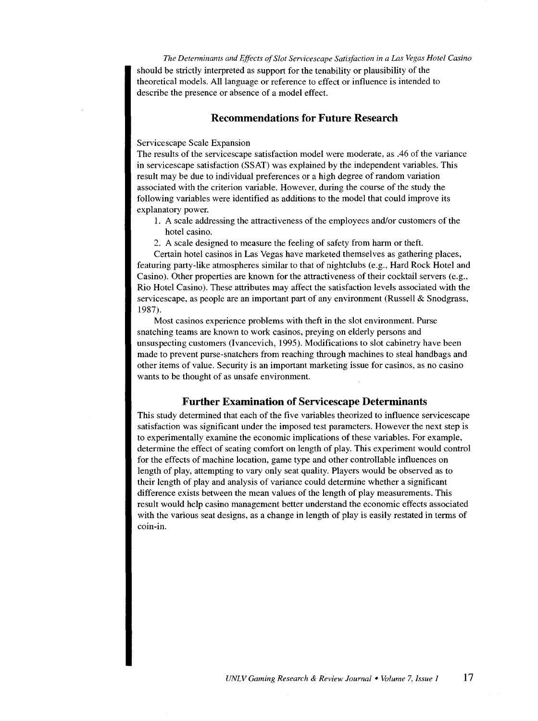*The Detenninants and Effects of Slot Servicescape Satisfaction in a Las Vegas Hotel Casino*  should be strictly interpreted as support for the tenability or plausibility of the theoretical models. All language or reference to effect or influence is intended to describe the presence or absence of a model effect.

# **Recommendations for Future Research**

#### Servicescape Scale Expansion

The results of the servicescape satisfaction model were moderate, as .46 of the variance in servicescape satisfaction (SSAT) was explained by the independent variables. This result may be due to individual preferences or a high degree of random variation associated with the criterion variable. However, during the course of the study the following variables were identified as additions to the model that could improve its explanatory power.

- 1. A scale addressing the attractiveness of the employees and/or customers of the hotel casino.
- 2. A scale designed to measure the feeling of safety from harm or theft.

Certain hotel casinos in Las Vegas have marketed themselves as gathering places, featuring party-like atmospheres similar to that of nightclubs (e.g., Hard Rock Hotel and Casino). Other properties are known for the attractiveness of their cocktail servers (e.g., Rio Hotel Casino). These attributes may affect the satisfaction levels associated with the servicescape, as people are an important part of any environment (Russell & Snodgrass, 1987).

Most casinos experience problems with theft in the slot environment. Purse snatching teams are known to work casinos, preying on elderly persons and unsuspecting customers (Ivancevich, 1995). Modifications to slot cabinetry have been made to prevent purse-snatchers from reaching through machines to steal handbags and other items of value. Security is an important marketing issue for casinos, as no casino wants to be thought of as unsafe environment.

# **Further Examination of Servicescape Determinants**

This study determined that each of the five variables theorized to influence servicescape satisfaction was significant under the imposed test parameters. However the next step is to experimentally examine the economic implications of these variables. For example, determine the effect of seating comfort on length of play. This experiment would control for the effects of machine location, game type and other controllable influences on length of play, attempting to vary only seat quality. Players would be observed as to their length of play and analysis of variance could determine whether a significant difference exists between the mean values of the length of play measurements. This result would help casino management better understand the economic effects associated with the various seat designs, as a change in length of play is easily restated in terms of coin-in.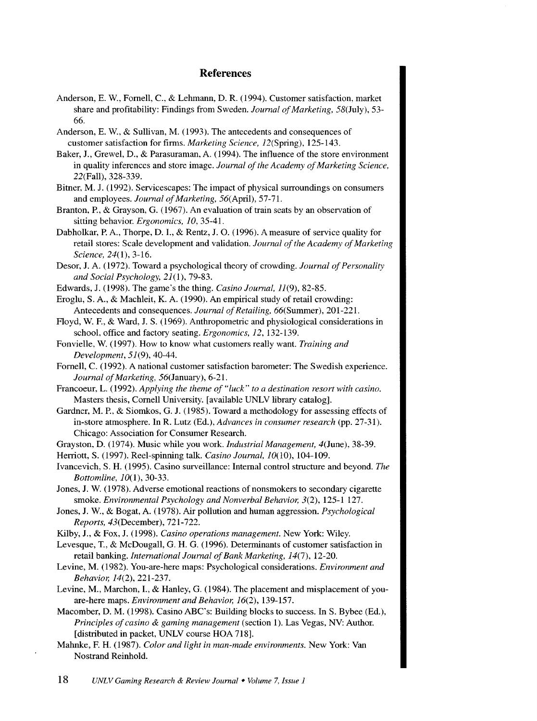# **References**

- Anderson, E. W., Fornell, C., & Lehmann, D. R. (1994). Customer satisfaction, market share and profitability: Findings from Sweden. *Journal of Marketing,* 58(July), 53- 66.
- Anderson, E. W., & Sullivan, M. (1993). The antecedents and consequences of customer satisfaction for firms. *Marketing Science,* 12(Spring), 125-143.
- Baker, J., Grewel, D., & Parasuraman, A. (1994). The influence of the store environment in quality inferences and store image. *Journal of the Academy of Marketing Science,*  22(Fall), 328-339.
- Bitner, M. J. (1992). Servicescapes: The impact of physical surroundings on consumers and employees. *Journal of Marketing,* 56( April), 57-71.
- Branton, P., & Grayson, G. ( 1967). An evaluation of train seats by an observation of sitting behavior. *Ergonomics, 10,* 35-41.
- Dabholkar, P. A., Thorpe, D. **1.,** & Rentz, J. 0. (1996). A measure of service quality for retail stores: Scale development and validation. *Journal of the Academy of Marketing Science*, 24(1), 3-16.
- Desor, J. A. (1972). Toward a psychological theory of crowding. *Journal of Personality and Social Psychology,* 21(1), 79-83.
- Edwards, J. (1998). The game's the thing. *Casino Journal,* 11(9), 82-85.
- Eroglu, S. A., & Machleit, K. A. (1990). An empirical study of retail crowding: Antecedents and consequences. *Journal of Retailing,* 66(Summer), 201-221.
- Floyd, W. F., & Ward, J. S. (1969). Anthropometric and physiological considerations in school, office and factory seating. *Ergonomics, 12,* 132-139.
- Fonvielle, W. (1997). How to know what customers really want. *Training and Development,* 51(9), 40-44.
- Fornell, C. (1992). A national customer satisfaction barometer: The Swedish experience. *Journal of Marketing, 56(* January), 6-21.
- Francoeur, L. (1992). *Applying the theme of "luck" to a destination resort with casino.*  Masters thesis, Cornell University. [available UNLV library catalog].
- Gardner, M.P., & Siomkos, G. J. (1985). Toward a methodology for assessing effects of in-store atmosphere. In R. Lutz (Ed.), *Advances in consumer research* (pp. 27-31). Chicago: Association for Consumer Research.
- Grayston, D. (1974). Music while you work. *Industrial Management,* 4(June), 38-39.
- Herriott, S. (1997). Reel-spinning talk. *Casino Journal,* 10(10), 104-109.

Ivancevich, S. H. (1995). Casino surveillance: Internal control structure and beyond. *The Bottomline,* 10(1), 30-33.

- Jones, J. W. (1978). Adverse emotional reactions of nonsmokers to secondary cigarette smoke. *Environmental Psychology and Nonverbal Behavior,* 3(2), 125-1 127.
- Jones, **J.** W., & Bogat, A. (1978). Air pollution and human aggression. *Psychological Reports,* 43(December), 721-722.
- Kilby, **J.,** & Fox, J. (1998). *Casino operations management.* New York: Wiley.
- Levesque, T., & McDougall, G. H. G. (1996). Determinants of customer satisfaction in retail banking. *International Journal of Bank Marketing, 14(7),* 12-20.
- Levine, M. (1982). You-are-here maps: Psychological considerations. *Environment and Behavior, 14(2),* 221-237.
- Levine, M., Marchon, **1.,** & Hanley, G. (1984). The placement and misplacement of youare-here maps. *Environment and Behavior,* 16(2), 139-157.
- Macomber, D. M. (1998). Casino ABC's: Building blocks to success. In S. Bybee (Ed.), *Principles of casino & gaming management* (section 1). Las Vegas, NV: Author. [distributed in packet, UNLV course HOA 718].
- Mahnke, F. H. (1987). *Color and light in man-made environments.* New York: Van Nostrand Reinhold.